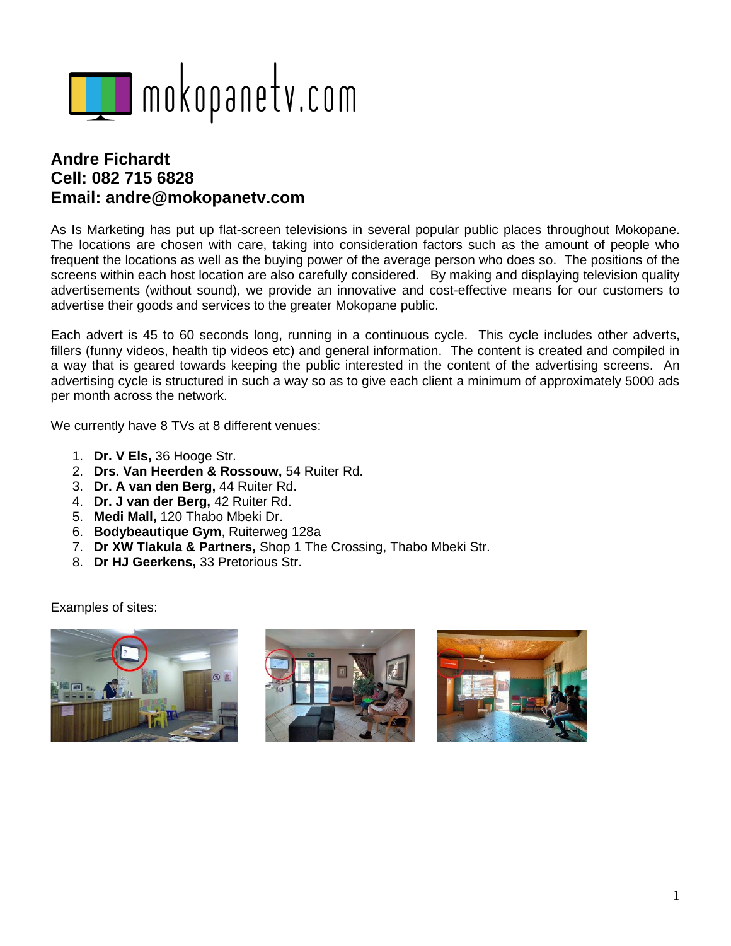

## **Andre Fichardt Cell: 082 715 6828 Email: andre@mokopanetv.com**

As Is Marketing has put up flat-screen televisions in several popular public places throughout Mokopane. The locations are chosen with care, taking into consideration factors such as the amount of people who frequent the locations as well as the buying power of the average person who does so. The positions of the screens within each host location are also carefully considered. By making and displaying television quality advertisements (without sound), we provide an innovative and cost-effective means for our customers to advertise their goods and services to the greater Mokopane public.

Each advert is 45 to 60 seconds long, running in a continuous cycle. This cycle includes other adverts, fillers (funny videos, health tip videos etc) and general information. The content is created and compiled in a way that is geared towards keeping the public interested in the content of the advertising screens. An advertising cycle is structured in such a way so as to give each client a minimum of approximately 5000 ads per month across the network.

We currently have 8 TVs at 8 different venues:

- 1. **Dr. V Els,** 36 Hooge Str.
- 2. **Drs. Van Heerden & Rossouw,** 54 Ruiter Rd.
- 3. **Dr. A van den Berg,** 44 Ruiter Rd.
- 4. **Dr. J van der Berg,** 42 Ruiter Rd.
- 5. **Medi Mall,** 120 Thabo Mbeki Dr.
- 6. **Bodybeautique Gym**, Ruiterweg 128a
- 7. **Dr XW Tlakula & Partners,** Shop 1 The Crossing, Thabo Mbeki Str.
- 8. **Dr HJ Geerkens,** 33 Pretorious Str.

Examples of sites: